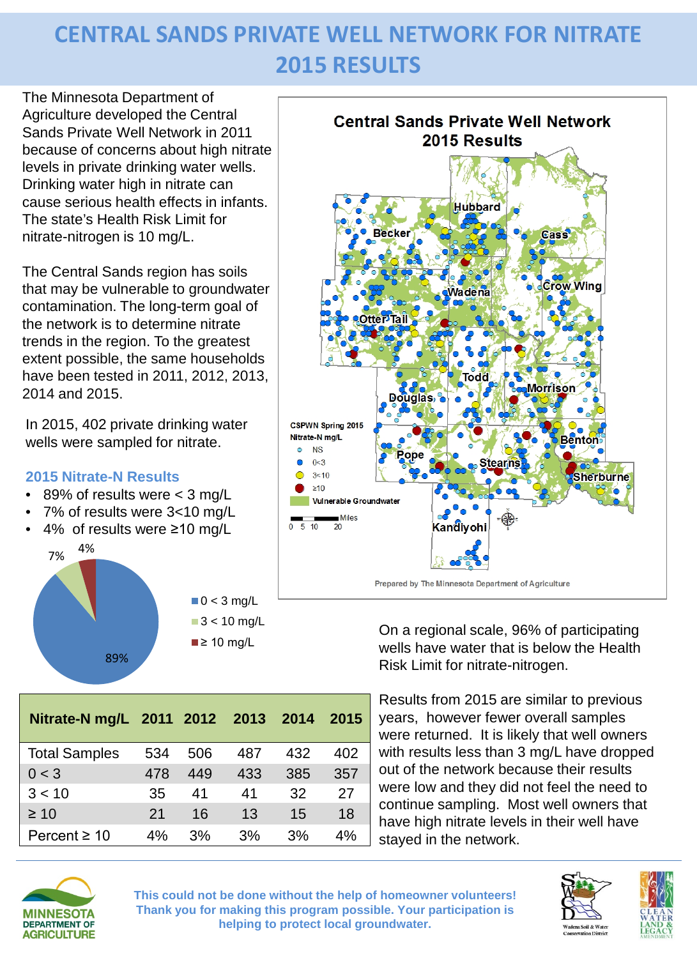## **CENTRAL SANDS PRIVATE WELL NETWORK FOR NITRATE 2015 RESULTS**

The Minnesota Department of Agriculture developed the Central Sands Private Well Network in 2011 because of concerns about high nitrate levels in private drinking water wells. Drinking water high in nitrate can cause serious health effects in infants. The state's Health Risk Limit for nitrate-nitrogen is 10 mg/L.

The Central Sands region has soils that may be vulnerable to groundwater contamination. The long-term goal of the network is to determine nitrate trends in the region. To the greatest extent possible, the same households have been tested in 2011, 2012, 2013, 2014 and 2015.

In 2015, 402 private drinking water wells were sampled for nitrate.

## **2015 Nitrate-N Results**

- 89% of results were < 3 mg/L
- 7% of results were 3<10 mg/L
- 4% of results were ≥10 mg/L





**Nitrate-N mg/L 2011 2012 2013 2014 2015**

Total Samples 534 506 487 432 402 0 < 3 478 449 433 385 357 3 < 10 35 41 41 32 27 ≥ 10 21 16 13 15 18 Percent ≥ 10 4% 3% 3% 3% 4%



On a regional scale, 96% of participating wells have water that is below the Health Risk Limit for nitrate-nitrogen.

Results from 2015 are similar to previous years, however fewer overall samples were returned. It is likely that well owners with results less than 3 mg/L have dropped out of the network because their results were low and they did not feel the need to continue sampling. Most well owners that have high nitrate levels in their well have stayed in the network.



**This could not be done without the help of homeowner volunteers! Thank you for making this program possible. Your participation is helping to protect local groundwater.**